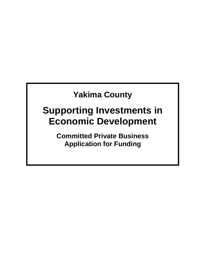## **Yakima County**

# **Supporting Investments in Economic Development**

**Committed Private Business Application for Funding**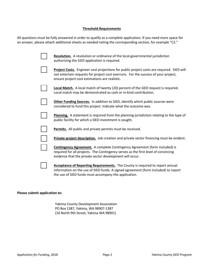## **Threshold Requirements**

All questions must be fully answered in order to qualify as a complete application. If you need more space for an answer, please attach additional sheets as needed noting the corresponding section, for example "C2."

| <b>Resolution.</b> A resolution or ordinance of the local governmental jurisdiction<br>authorizing the SIED application is required.                                                                                                |
|-------------------------------------------------------------------------------------------------------------------------------------------------------------------------------------------------------------------------------------|
| Project Costs. Engineer cost projections for public project costs are required. SIED will<br>not entertain requests for project cost overruns. For the success of your project,<br>ensure project cost estimations are realistic.   |
| <b>Local Match.</b> A local match of twenty (20) percent of the <i>SIED</i> request is required.<br>Local match may be demonstrated as cash or in-kind contribution.                                                                |
| Other Funding Sources. In addition to SIED, identify which public sources were<br>considered to fund this project. Indicate what the outcome was.                                                                                   |
| Planning. A statement is required from the planning jurisdiction relating to the type of<br>public facility for which a SIED investment is sought.                                                                                  |
| Permits. All public and private permits must be received.                                                                                                                                                                           |
| Private project description. Job creation and private sector financing must be evident.                                                                                                                                             |
| <b>Contingency Agreement.</b> A complete Contingency Agreement (form included) is<br>required for all projects. The Contingency serves as the first level of convincing<br>evidence that the private sector development will occur. |
| Acceptance of Reporting Requirements. The County is required to report annual<br>information on the use of SIED funds. A signed agreement (form included) to report<br>the use of SIED funds must accompany the application.        |

#### **Please submit application to:**

Yakima County Development Association PO Box 1387, Yakima, WA 98907-1387 (10 North 9th Street, Yakima WA 98901)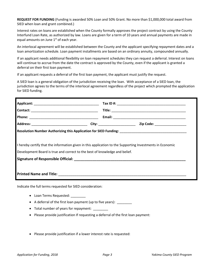**REQUEST FOR FUNDING** (Funding is awarded 50% Loan and 50% Grant. No more than \$1,000,000 total award from SIED when loan and grant combined.)

Interest rates on loans are established when the County formally approves the project contract by using the County Interfund Loan Rate, as authorized by law. Loans are given for a term of 10 years and annual payments are made in equal amounts on June  $1<sup>st</sup>$  of each year.

An interlocal agreement will be established between the County and the applicant specifying repayment dates and a loan amortization schedule. Loan payment installments are based on an ordinary annuity, compounded annually.

If an applicant needs additional flexibility on loan repayment schedules they can request a deferral. Interest on loans will continue to accrue from the date the contract is approved by the County, even if the applicant is granted a deferral on their first loan payment.

If an applicant requests a deferral of the first loan payment, the applicant must justify the request.

A SIED loan is a general obligation of the jurisdiction receiving the loan. With acceptance of a SIED loan, the jurisdiction agrees to the terms of the interlocal agreement regardless of the project which prompted the application for SIED funding.

|                                                                            | Resolution Number Authorizing this Application for SIED Funding: ___________________________________      |
|----------------------------------------------------------------------------|-----------------------------------------------------------------------------------------------------------|
|                                                                            |                                                                                                           |
|                                                                            |                                                                                                           |
|                                                                            | I hereby certify that the information given in this application to the Supporting Investments in Economic |
|                                                                            |                                                                                                           |
| Development Board is true and correct to the best of knowledge and belief. |                                                                                                           |
|                                                                            |                                                                                                           |

Indicate the full terms requested for SIED consideration:

- Loan Terms Requested:
- A deferral of the first loan payment (up to five years):
- Total number of years for repayment: \_\_\_\_\_\_\_\_
- Please provide justification If requesting a deferral of the first loan payment:
- Please provide justification if a lower interest rate is requested: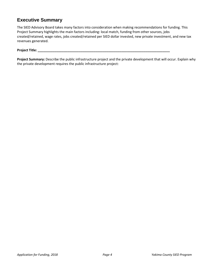## **Executive Summary**

The SIED Advisory Board takes many factors into consideration when making recommendations for funding. This Project Summary highlights the main factors including: local match, funding from other sources, jobs created/retained, wage rates, jobs created/retained per SIED dollar invested, new private investment, and new tax revenues generated.

## **Project Title: \_\_\_\_\_\_\_\_\_\_\_\_\_\_\_\_\_\_\_\_\_\_\_\_\_\_\_\_\_\_\_\_\_\_\_\_\_\_\_\_\_\_\_\_\_\_\_\_\_\_\_\_\_\_\_\_\_\_\_\_\_\_\_\_\_\_\_\_\_\_\_**

**Project Summary:** Describe the public infrastructure project and the private development that will occur. Explain why the private development requires the public infrastructure project: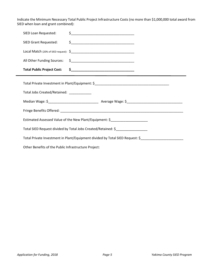Indicate the Minimum Necessary Total Public Project Infrastructure Costs (no more than \$1,000,000 total award from SIED when loan and grant combined):

| SIED Loan Requested:                                                          |                                                                                   |  |  |
|-------------------------------------------------------------------------------|-----------------------------------------------------------------------------------|--|--|
| SIED Grant Requested:                                                         |                                                                                   |  |  |
|                                                                               |                                                                                   |  |  |
| All Other Funding Sources:                                                    | $\frac{1}{2}$                                                                     |  |  |
|                                                                               |                                                                                   |  |  |
|                                                                               | Total Private Investment in Plant/Equipment: \$__________________________________ |  |  |
| Total Jobs Created/Retained: ____________                                     |                                                                                   |  |  |
|                                                                               |                                                                                   |  |  |
|                                                                               |                                                                                   |  |  |
|                                                                               | Estimated Assessed Value of the New Plant/Equipment: \$__________________________ |  |  |
| Total SIED Request divided by Total Jobs Created/Retained: \$                 |                                                                                   |  |  |
| Total Private Investment in Plant/Equipment divided by Total SIED Request: \$ |                                                                                   |  |  |
| Other Benefits of the Public Infrastructure Project:                          |                                                                                   |  |  |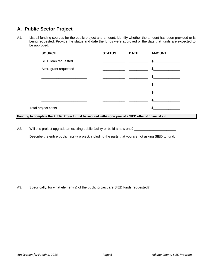## **A. Public Sector Project**

A1. List all funding sources for the public project and amount. Identify whether the amount has been provided or is being requested. Provide the status and date the funds were approved or the date that funds are expected to be approved:

|                     | <b>SOURCE</b>        | <b>STATUS</b> | <b>DATE</b> | <b>AMOUNT</b>  |
|---------------------|----------------------|---------------|-------------|----------------|
|                     | SIED loan requested  |               |             | $\frac{1}{2}$  |
|                     | SIED grant requested |               |             | $\mathbb{S}$   |
|                     |                      |               |             | $\mathfrak{S}$ |
|                     |                      |               |             | $\mathbb{S}$   |
|                     |                      |               |             | \$             |
|                     |                      |               |             | \$             |
| Total project costs |                      |               |             | \$.            |

**Funding to complete the Public Project must be secured within one year of a SIED offer of financial aid**

A2. Will this project upgrade an existing public facility or build a new one? \_\_\_

Describe the entire public facility project, including the parts that you are not asking SIED to fund.

A3. Specifically, for what element(s) of the public project are SIED funds requested?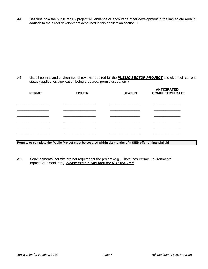A4. Describe how the public facility project will enhance or encourage other development in the immediate area in addition to the direct development described in this application section C.

A5. List all permits and environmental reviews required for the *PUBLIC SECTOR PROJECT* and give their current status (applied for, application being prepared, permit issued, etc.)

| <b>PERMIT</b> | <b>ISSUER</b> | <b>STATUS</b> | <b>ANTICIPATED</b><br><b>COMPLETION DATE</b> |
|---------------|---------------|---------------|----------------------------------------------|
|               |               |               |                                              |
|               |               |               |                                              |
|               |               |               |                                              |
|               |               |               |                                              |
|               |               |               |                                              |
|               |               |               |                                              |

**Permits to complete the Public Project must be secured within six months of a SIED offer of financial aid**

A6. If environmental permits are not required for the project (e.g., Shorelines Permit, Environmental Impact Statement, etc.), *please explain why they are NOT required.*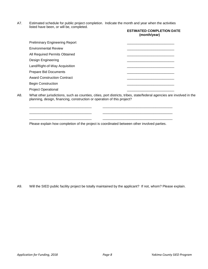A7. Estimated schedule for public project completion. Indicate the month and year when the activities listed have been, or will be, completed.

|                                                                                                                 | <b>ESTIMATED COMPLETION DATE</b><br>(month/year) |
|-----------------------------------------------------------------------------------------------------------------|--------------------------------------------------|
| <b>Preliminary Engineering Report</b>                                                                           |                                                  |
| <b>Environmental Review</b>                                                                                     |                                                  |
| All Required Permits Obtained                                                                                   |                                                  |
| <b>Design Engineering</b>                                                                                       |                                                  |
| Land/Right-of-Way Acquisition                                                                                   |                                                  |
| <b>Prepare Bid Documents</b>                                                                                    |                                                  |
| <b>Award Construction Contract</b>                                                                              |                                                  |
| <b>Begin Construction</b>                                                                                       |                                                  |
| <b>Project Operational</b>                                                                                      |                                                  |
| What other jurisdictions, such as counties, cities, port districts, tribes, state/federal agencies are involved |                                                  |

A8. What other jurisdictions, such as counties, cities, port districts, tribes, state/federal agencies are involved in the planning, design, financing, construction or operation of this project?

Please explain how completion of the project is coordinated between other involved parties.

\_\_\_\_\_\_\_\_\_\_\_\_\_\_\_\_\_\_\_\_\_\_\_\_\_\_\_\_\_\_\_\_\_ \_\_\_\_\_\_\_\_\_\_\_\_\_\_\_\_\_\_\_\_\_\_\_\_\_\_\_\_\_\_\_\_\_\_\_\_\_ \_\_\_\_\_\_\_\_\_\_\_\_\_\_\_\_\_\_\_\_\_\_\_\_\_\_\_\_\_\_\_\_\_ \_\_\_\_\_\_\_\_\_\_\_\_\_\_\_\_\_\_\_\_\_\_\_\_\_\_\_\_\_\_\_\_\_\_\_\_\_ \_\_\_\_\_\_\_\_\_\_\_\_\_\_\_\_\_\_\_\_\_\_\_\_\_\_\_\_\_\_\_\_\_ \_\_\_\_\_\_\_\_\_\_\_\_\_\_\_\_\_\_\_\_\_\_\_\_\_\_\_\_\_\_\_\_\_\_\_\_\_

A9. Will the SIED public facility project be totally maintained by the applicant? If not, whom? Please explain.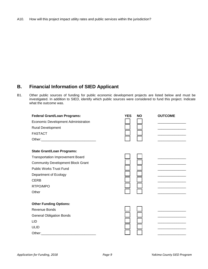#### A10. How will this project impact utility rates and public services within the jurisdiction?

## **B. Financial Information of SIED Applicant**

B1. Other public sources of funding for public economic development projects are listed below and must be investigated. In addition to SIED, identify which public sources were considered to fund this project. Indicate what the outcome was.

| <b>Federal Grant/Loan Programs:</b>      | <b>YES</b> | <b>NO</b> | <b>OUTCOME</b> |
|------------------------------------------|------------|-----------|----------------|
| Economic Development Administration      |            |           |                |
| Rural Development                        |            |           |                |
| <b>FASTACT</b>                           |            |           |                |
|                                          |            |           |                |
| <b>State Grant/Loan Programs:</b>        |            |           |                |
| <b>Transportation Improvement Board</b>  |            |           |                |
| <b>Community Development Block Grant</b> |            |           |                |
| <b>Public Works Trust Fund</b>           |            |           |                |
| Department of Ecology                    |            |           |                |
| <b>CERB</b>                              |            |           |                |
| RTPO/MPO                                 |            |           |                |
| Other                                    |            |           |                |
| <b>Other Funding Options:</b>            |            |           |                |
| Revenue Bonds                            |            |           |                |
| <b>General Obligation Bonds</b>          |            |           |                |
| <b>LID</b>                               |            |           |                |
| <b>ULID</b>                              |            |           |                |
|                                          |            |           |                |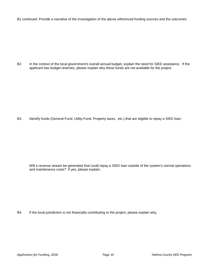B1 continued: Provide a narrative of the investigation of the above referenced funding sources and the outcomes:

B2. In the context of the local government's overall annual budget, explain the need for SIED assistance. If the applicant has budget reserves, please explain why these funds are not available for the project.

B3. Identify funds (General Fund, Utility Fund, Property taxes, etc.) that are eligible to repay a SIED loan:

Will a revenue stream be generated that could repay a SIED loan outside of the system's normal operations and maintenance costs? If yes, please explain:

B4. If the local jurisdiction is not financially contributing to the project, please explain why.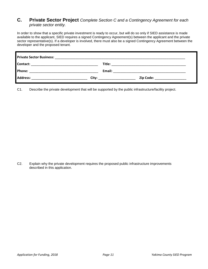## **C. Private Sector Project** *Complete Section C and a Contingency Agreement for each private sector entity.*

In order to show that a specific private investment is ready to occur, but will do so only if SIED assistance is made available to the applicant, SIED requires a signed Contingency Agreement(s) between the applicant and the private sector representative(s). If a developer is involved, there must also be a signed Contingency Agreement between the developer and the proposed tenant.

| <b>Private Sector Business:</b>                                                                                                    |       |        |                                                                                 |
|------------------------------------------------------------------------------------------------------------------------------------|-------|--------|---------------------------------------------------------------------------------|
| Contact:<br><u> 1980 - Jan James James, martin de la provincia de la provincia de la provincia de la provincia de la provincia</u> |       | Title: |                                                                                 |
| Phone:                                                                                                                             |       | Email: | the contract of the contract of the contract of the contract of the contract of |
| <b>Address:</b>                                                                                                                    | City: |        | Zip Code:                                                                       |

C1. Describe the private development that will be supported by the public infrastructure/facility project.

C2. Explain why the private development requires the proposed public infrastructure improvements described in this application.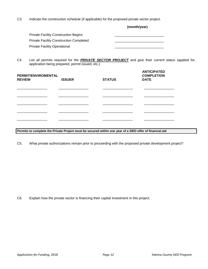C3. Indicate the construction schedule (if applicable) for the proposed private sector project.

|                                                | (month/year) |
|------------------------------------------------|--------------|
| <b>Private Facility Construction Begins</b>    |              |
| <b>Private Facility Construction Completed</b> |              |
| <b>Private Facility Operational</b>            |              |
|                                                |              |

C4. List all permits required for the *PRIVATE SECTOR PROJECT* and give their current status (applied for, application being prepared, permit issued, etc.)

| PERMIT/ENVIROMENTAL<br><b>REVIEW</b> | <b>ISSUER</b> | <b>STATUS</b> | <b>ANTICIPATED</b><br><b>COMPLETION</b><br><b>DATE</b> |
|--------------------------------------|---------------|---------------|--------------------------------------------------------|
|                                      |               |               |                                                        |
|                                      |               |               |                                                        |
|                                      |               |               |                                                        |
|                                      |               |               |                                                        |

**Permits to complete the Private Project must be secured within one year of a SIED offer of financial aid**

C5. What private authorizations remain prior to proceeding with the proposed private development project?

C6. Explain how the private sector is financing their capital investment in this project.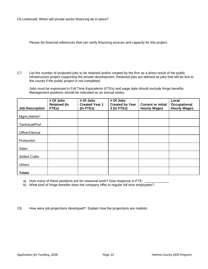Please list financial references that can verify financing sources and capacity for this project.

C7. List the number of projected jobs to be retained and/or created by the firm as a direct result of the public infrastructure project supporting the private development. Retained jobs are defined as jobs that will be lost to the county if the public project is not completed.

Jobs must be expressed in Full Time Equivalents (FTEs) and wage data should exclude fringe benefits. Management positions should be indicated as an annual salary.

|                        | # Of Jobs<br><b>Retained (In</b> | # Of Jobs<br><b>Created Year 1</b> | # Of Jobs<br><b>Created by Year</b> | <b>Current or initial</b> | Local<br>Occupational |
|------------------------|----------------------------------|------------------------------------|-------------------------------------|---------------------------|-----------------------|
| <b>Job Description</b> | FTEs)                            | (In FTEs)                          | 3 (In FTEs)                         | <b>Hourly Wages</b>       | <b>Hourly Wages</b>   |
| Mgmt./Admin*           |                                  |                                    |                                     |                           |                       |
| Technical/Prof.        |                                  |                                    |                                     |                           |                       |
| Office/Clerical        |                                  |                                    |                                     |                           |                       |
| Production             |                                  |                                    |                                     |                           |                       |
| Sales                  |                                  |                                    |                                     |                           |                       |
| <b>Skilled Crafts</b>  |                                  |                                    |                                     |                           |                       |
| Others                 |                                  |                                    |                                     |                           |                       |
| <b>Totals</b>          |                                  |                                    |                                     |                           |                       |

a) How many of these positions are for seasonal work? Give response in FTE: \_

b) What kind of fringe benefits does the company offer to regular full time employees?

C8. How were job projections developed? Explain how the projections are realistic.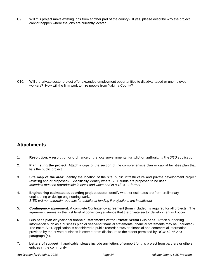C9. Will this project move existing jobs from another part of the county? If yes, please describe why the project cannot happen where the jobs are currently located.

C10. Will the private sector project offer expanded employment opportunities to disadvantaged or unemployed workers? How will the firm work to hire people from Yakima County?

## **Attachments**

- 1. **Resolution:** A resolution or ordinance of the local governmental jurisdiction authorizing the *SIED* application.
- 2. **Plan listing the project:** Attach a copy of the section of the comprehensive plan or capital facilities plan that lists the public project.
- 3. **Site map of the area:** Identify the location of the site, public infrastructure and private development project (existing and/or proposed). Specifically identify where SIED funds are proposed to be used. *Materials must be reproducible in black and white and in 8 1/2 x 11 format.*
- 4. **Engineering estimates supporting project costs:** Identify whether estimates are from preliminary engineering or design engineering work. *SIED will not entertain requests for additional funding if projections are insufficient*
- 5. **Contingency agreement:** A complete Contingency agreement (form included) is required for all projects. The agreement serves as the first level of convincing evidence that the private sector development will occur.
- 6. **Business plan or year-end financial statements of the Private Sector Business:** Attach supporting information such as a business plan or year-end financial statements (financial statements may be unaudited). The entire SIED application is considered a public record; however, financial and commercial information provided by the private business is exempt from disclosure to the extent permitted by RCW 42.56.270 paragraph (4).
- 7. **Letters of support:** If applicable, please include any letters of support for this project from partners or others entities in the community.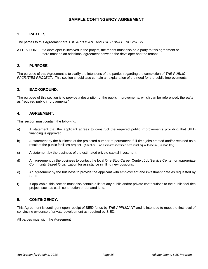## **SAMPLE CONTINGENCY AGREEMENT**

## **1. PARTIES.**

The parties to this Agreement are *THE APPLICANT* and *THE PRIVATE BUSINESS.*

ATTENTION: If a developer is involved in the project, the tenant must also be a party to this agreement or there must be an additional agreement between the developer and the tenant.

## **2. PURPOSE.**

The purpose of this Agreement is to clarify the intentions of the parties regarding the completion of *THE PUBLIC FACILITIES PROJECT.* This section should also contain an explanation of the need for the public improvements.

## **3. BACKGROUND.**

The purpose of this section is to provide a description of the public improvements, which can be referenced, thereafter, as "required public improvements."

#### **4. AGREEMENT.**

This section must contain the following:

- a) A statement that the applicant agrees to construct the required public improvements providing that SIED financing is approved.
- b) A statement by the business of the projected number of permanent, full-time jobs created and/or retained as a result of the public facilities project. (Attention: Job estimates identified here must equal those in Question C5.)
- c) A statement by the business of the estimated private capital investment.
- d) An agreement by the business to contact the local One-Stop Career Center, Job Service Center, or appropriate Community Based Organization for assistance in filling new positions.
- e) An agreement by the business to provide the applicant with employment and investment data as requested by SIED.
- f) If applicable, this section must also contain a list of any public and/or private contributions to the public facilities project, such as cash contribution or donated land.

## **5. CONTINGENCY.**

This Agreement is contingent upon receipt of SIED funds by *THE APPLICANT* and is intended to meet the first level of convincing evidence of private development as required by SIED.

All parties must sign the Agreement.